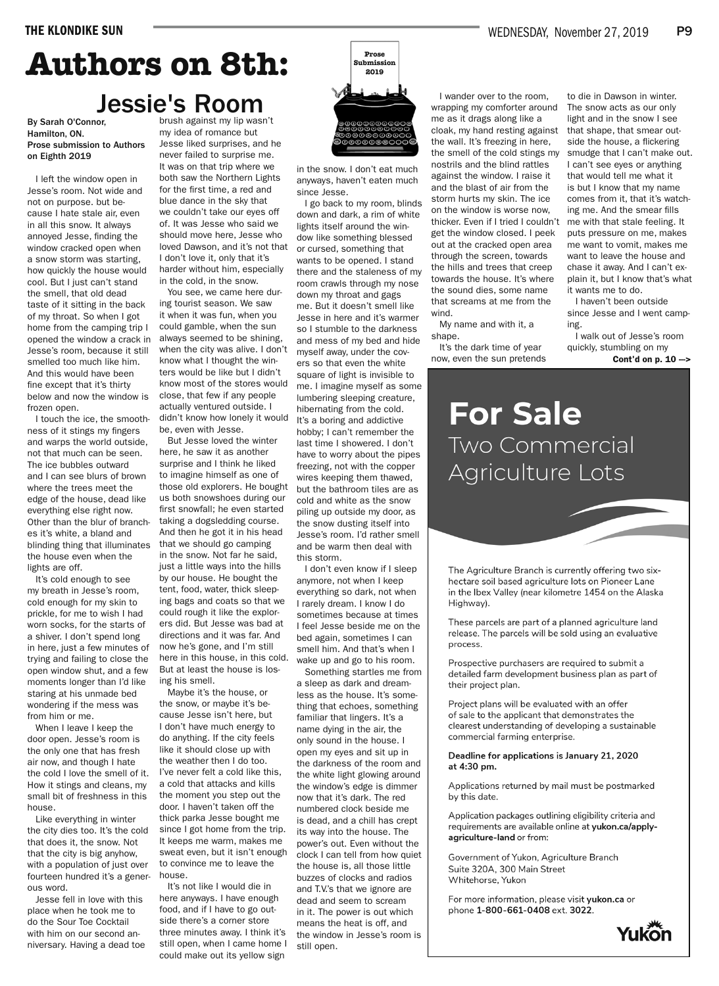# **Authors on 8th:** Jessie's Room

By Sarah O'Connor, Hamilton, ON. Prose submission to Authors on Eighth 2019

I left the window open in Jesse's room. Not wide and not on purpose. but because I hate stale air, even in all this snow. It always annoyed Jesse, finding the window cracked open when a snow storm was starting, how quickly the house would cool. But I just can't stand the smell, that old dead taste of it sitting in the back of my throat. So when I got home from the camping trip I opened the window a crack in Jesse's room, because it still smelled too much like him. And this would have been fine except that it's thirty below and now the window is frozen open.

I touch the ice, the smoothness of it stings my fingers and warps the world outside, not that much can be seen. The ice bubbles outward and I can see blurs of brown where the trees meet the edge of the house, dead like everything else right now. Other than the blur of branches it's white, a bland and blinding thing that illuminates the house even when the lights are off.

It's cold enough to see my breath in Jesse's room, cold enough for my skin to prickle, for me to wish I had worn socks, for the starts of a shiver. I don't spend long in here, just a few minutes of trying and failing to close the open window shut, and a few moments longer than I'd like staring at his unmade bed wondering if the mess was from him or me.

When I leave I keep the door open. Jesse's room is the only one that has fresh air now, and though I hate the cold I love the smell of it. How it stings and cleans, my small bit of freshness in this house.

Like everything in winter the city dies too. It's the cold that does it, the snow. Not that the city is big anyhow, with a population of just over fourteen hundred it's a generous word.

Jesse fell in love with this place when he took me to do the Sour Toe Cocktail with him on our second anniversary. Having a dead toe brush against my lip wasn't my idea of romance but Jesse liked surprises, and he never failed to surprise me. It was on that trip where we both saw the Northern Lights for the first time, a red and blue dance in the sky that we couldn't take our eyes off of. It was Jesse who said we should move here, Jesse who loved Dawson, and it's not that I don't love it, only that it's harder without him, especially in the cold, in the snow.

You see, we came here during tourist season. We saw it when it was fun, when you could gamble, when the sun always seemed to be shining, when the city was alive. I don't know what I thought the winters would be like but I didn't know most of the stores would close, that few if any people actually ventured outside. I didn't know how lonely it would be, even with Jesse.

But Jesse loved the winter here, he saw it as another surprise and I think he liked to imagine himself as one of those old explorers. He bought us both snowshoes during our first snowfall; he even started taking a dogsledding course. And then he got it in his head that we should go camping in the snow. Not far he said, just a little ways into the hills by our house. He bought the tent, food, water, thick sleeping bags and coats so that we could rough it like the explorers did. But Jesse was bad at directions and it was far. And now he's gone, and I'm still here in this house, in this cold. But at least the house is losing his smell.

Maybe it's the house, or the snow, or maybe it's because Jesse isn't here, but I don't have much energy to do anything. If the city feels like it should close up with the weather then I do too. I've never felt a cold like this, a cold that attacks and kills the moment you step out the door. I haven't taken off the thick parka Jesse bought me since I got home from the trip. It keeps me warm, makes me sweat even, but it isn't enough to convince me to leave the house.

It's not like I would die in here anyways. I have enough food, and if I have to go outside there's a corner store three minutes away. I think it's still open, when I came home I could make out its yellow sign



in the snow. I don't eat much anyways, haven't eaten much since Jesse.

I go back to my room, blinds down and dark, a rim of white lights itself around the window like something blessed or cursed, something that wants to be opened. I stand there and the staleness of my room crawls through my nose down my throat and gags me. But it doesn't smell like Jesse in here and it's warmer so I stumble to the darkness and mess of my bed and hide myself away, under the covers so that even the white square of light is invisible to me. I imagine myself as some lumbering sleeping creature, hibernating from the cold. It's a boring and addictive hobby; I can't remember the last time I showered. I don't have to worry about the pipes freezing, not with the copper wires keeping them thawed, but the bathroom tiles are as cold and white as the snow piling up outside my door, as the snow dusting itself into Jesse's room. I'd rather smell and be warm then deal with this storm.

I don't even know if I sleep anymore, not when I keep everything so dark, not when I rarely dream. I know I do sometimes because at times I feel Jesse beside me on the bed again, sometimes I can smell him. And that's when I wake up and go to his room.

Something startles me from a sleep as dark and dreamless as the house. It's something that echoes, something familiar that lingers. It's a name dying in the air, the only sound in the house. I open my eyes and sit up in the darkness of the room and the white light glowing around the window's edge is dimmer now that it's dark. The red numbered clock beside me is dead, and a chill has crept its way into the house. The power's out. Even without the clock I can tell from how quiet the house is, all those little buzzes of clocks and radios and T.V.'s that we ignore are dead and seem to scream in it. The power is out which means the heat is off, and the window in Jesse's room is still open.

I wander over to the room, wrapping my comforter around me as it drags along like a cloak, my hand resting against the wall. It's freezing in here, the smell of the cold stings my nostrils and the blind rattles against the window. I raise it and the blast of air from the storm hurts my skin. The ice on the window is worse now, thicker. Even if I tried I couldn't get the window closed. I peek out at the cracked open area through the screen, towards the hills and trees that creep towards the house. It's where the sound dies, some name that screams at me from the wind.

My name and with it, a shape.

It's the dark time of year now, even the sun pretends

to die in Dawson in winter. The snow acts as our only light and in the snow I see that shape, that smear outside the house, a flickering smudge that I can't make out. I can't see eyes or anything that would tell me what it is but I know that my name comes from it, that it's watching me. And the smear fills me with that stale feeling. It puts pressure on me, makes me want to vomit, makes me want to leave the house and chase it away. And I can't explain it, but I know that's what it wants me to do.

I haven't been outside since Jesse and I went camping.

I walk out of Jesse's room quickly, stumbling on my

Cont'd on  $p. 10$   $\rightarrow$ 

## **For Sale** Two Commercial Agriculture Lots

The Agriculture Branch is currently offering two sixhectare soil based agriculture lots on Pioneer Lane in the Ibex Valley (near kilometre 1454 on the Alaska Highway).

These parcels are part of a planned agriculture land release. The parcels will be sold using an evaluative process.

Prospective purchasers are required to submit a detailed farm development business plan as part of their project plan.

Project plans will be evaluated with an offer of sale to the applicant that demonstrates the clearest understanding of developing a sustainable commercial farming enterprise.

Deadline for applications is January 21, 2020 at 4:30 pm.

Applications returned by mail must be postmarked by this date.

Application packages outlining eligibility criteria and requirements are available online at yukon.ca/applyagriculture-land or from:

Government of Yukon, Agriculture Branch Suite 320A, 300 Main Street Whitehorse, Yukon

For more information, please visit yukon.ca or phone 1-800-661-0408 ext. 3022.